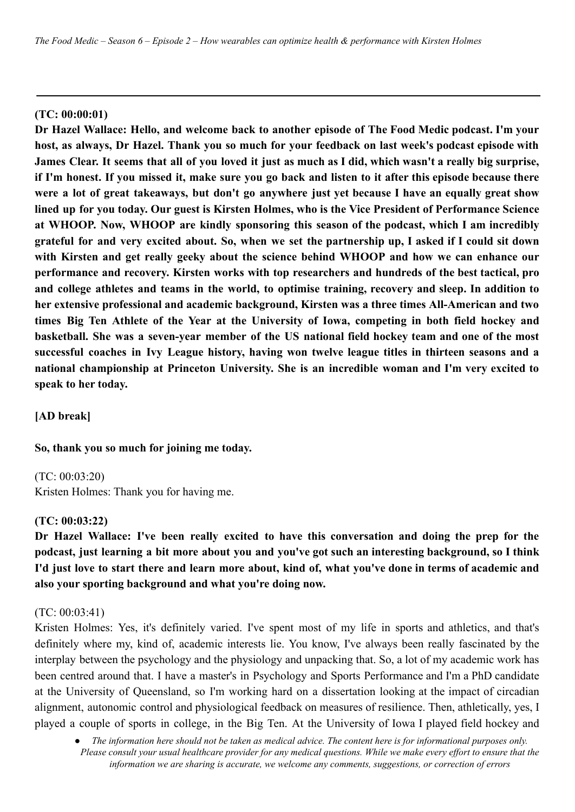#### **(TC: 00:00:01)**

**Dr Hazel Wallace: Hello, and welcome back to another episode of The Food Medic podcast. I'm your host, as always, Dr Hazel. Thank you so much for your feedback on last week's podcast episode with** James Clear. It seems that all of you loved it just as much as I did, which wasn't a really big surprise, if I'm honest. If you missed it, make sure you go back and listen to it after this episode because there were a lot of great takeaways, but don't go anywhere just yet because I have an equally great show lined up for you today. Our guest is Kirsten Holmes, who is the Vice President of Performance Science **at WHOOP. Now, WHOOP are kindly sponsoring this season of the podcast, which I am incredibly** grateful for and very excited about. So, when we set the partnership up, I asked if I could sit down **with Kirsten and get really geeky about the science behind WHOOP and how we can enhance our performance and recovery. Kirsten works with top researchers and hundreds of the best tactical, pro and college athletes and teams in the world, to optimise training, recovery and sleep. In addition to her extensive professional and academic background, Kirsten was a three times All-American and two times Big Ten Athlete of the Year at the University of Iowa, competing in both field hockey and basketball. She was a seven-year member of the US national field hockey team and one of the most successful coaches in Ivy League history, having won twelve league titles in thirteen seasons and a national championship at Princeton University. She is an incredible woman and I'm very excited to speak to her today.**

**[AD break]**

#### **So, thank you so much for joining me today.**

(TC: 00:03:20)

Kristen Holmes: Thank you for having me.

#### **(TC: 00:03:22)**

**Dr Hazel Wallace: I've been really excited to have this conversation and doing the prep for the** podcast, just learning a bit more about you and you've got such an interesting background, so I think I'd just love to start there and learn more about, kind of, what you've done in terms of academic and **also your sporting background and what you're doing now.**

#### (TC: 00:03:41)

Kristen Holmes: Yes, it's definitely varied. I've spent most of my life in sports and athletics, and that's definitely where my, kind of, academic interests lie. You know, I've always been really fascinated by the interplay between the psychology and the physiology and unpacking that. So, a lot of my academic work has been centred around that. I have a master's in Psychology and Sports Performance and I'm a PhD candidate at the University of Queensland, so I'm working hard on a dissertation looking at the impact of circadian alignment, autonomic control and physiological feedback on measures of resilience. Then, athletically, yes, I played a couple of sports in college, in the Big Ten. At the University of Iowa I played field hockey and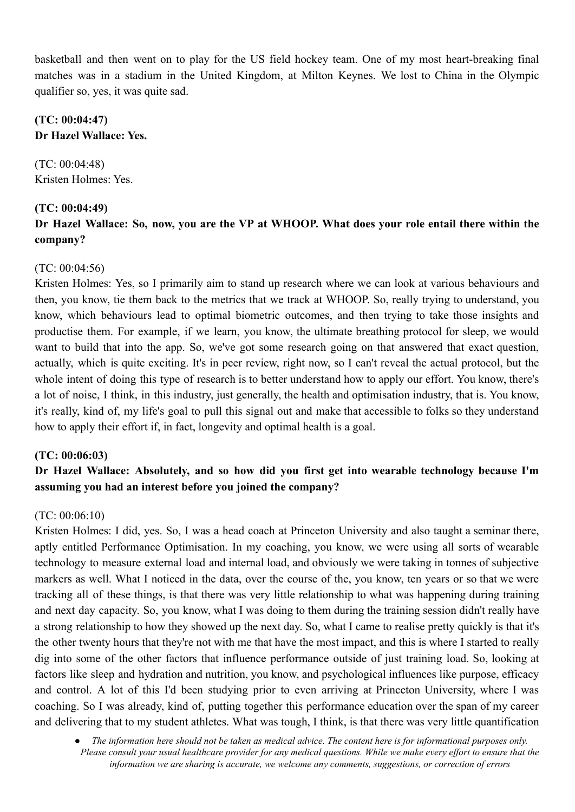basketball and then went on to play for the US field hockey team. One of my most heart-breaking final matches was in a stadium in the United Kingdom, at Milton Keynes. We lost to China in the Olympic qualifier so, yes, it was quite sad.

## **(TC: 00:04:47) Dr Hazel Wallace: Yes.**

(TC: 00:04:48) Kristen Holmes: Yes.

## **(TC: 00:04:49)**

## Dr Hazel Wallace: So, now, you are the VP at WHOOP. What does your role entail there within the **company?**

## (TC: 00:04:56)

Kristen Holmes: Yes, so I primarily aim to stand up research where we can look at various behaviours and then, you know, tie them back to the metrics that we track at WHOOP. So, really trying to understand, you know, which behaviours lead to optimal biometric outcomes, and then trying to take those insights and productise them. For example, if we learn, you know, the ultimate breathing protocol for sleep, we would want to build that into the app. So, we've got some research going on that answered that exact question, actually, which is quite exciting. It's in peer review, right now, so I can't reveal the actual protocol, but the whole intent of doing this type of research is to better understand how to apply our effort. You know, there's a lot of noise, I think, in this industry, just generally, the health and optimisation industry, that is. You know, it's really, kind of, my life's goal to pull this signal out and make that accessible to folks so they understand how to apply their effort if, in fact, longevity and optimal health is a goal.

## **(TC: 00:06:03)**

## **Dr Hazel Wallace: Absolutely, and so how did you first get into wearable technology because I'm assuming you had an interest before you joined the company?**

## (TC: 00:06:10)

Kristen Holmes: I did, yes. So, I was a head coach at Princeton University and also taught a seminar there, aptly entitled Performance Optimisation. In my coaching, you know, we were using all sorts of wearable technology to measure external load and internal load, and obviously we were taking in tonnes of subjective markers as well. What I noticed in the data, over the course of the, you know, ten years or so that we were tracking all of these things, is that there was very little relationship to what was happening during training and next day capacity. So, you know, what I was doing to them during the training session didn't really have a strong relationship to how they showed up the next day. So, what I came to realise pretty quickly is that it's the other twenty hours that they're not with me that have the most impact, and this is where I started to really dig into some of the other factors that influence performance outside of just training load. So, looking at factors like sleep and hydration and nutrition, you know, and psychological influences like purpose, efficacy and control. A lot of this I'd been studying prior to even arriving at Princeton University, where I was coaching. So I was already, kind of, putting together this performance education over the span of my career and delivering that to my student athletes. What was tough, I think, is that there was very little quantification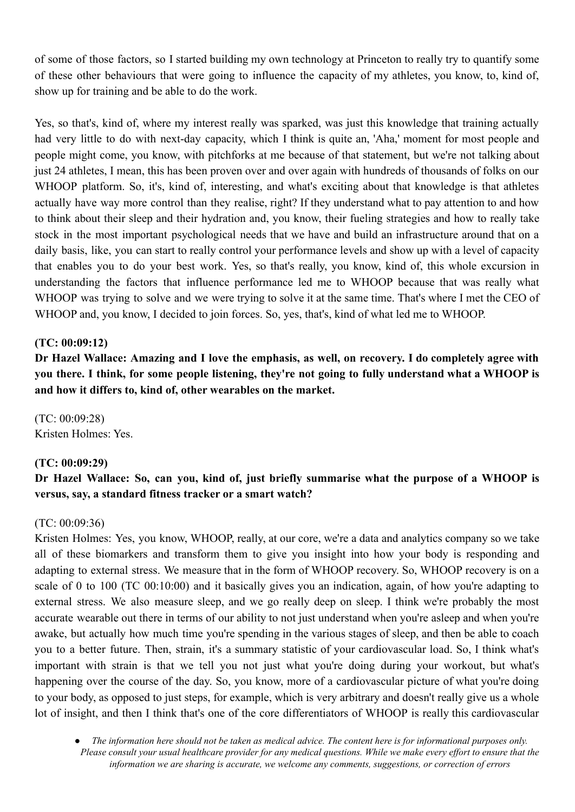of some of those factors, so I started building my own technology at Princeton to really try to quantify some of these other behaviours that were going to influence the capacity of my athletes, you know, to, kind of, show up for training and be able to do the work.

Yes, so that's, kind of, where my interest really was sparked, was just this knowledge that training actually had very little to do with next-day capacity, which I think is quite an, 'Aha,' moment for most people and people might come, you know, with pitchforks at me because of that statement, but we're not talking about just 24 athletes. I mean, this has been proven over and over again with hundreds of thousands of folks on our WHOOP platform. So, it's, kind of, interesting, and what's exciting about that knowledge is that athletes actually have way more control than they realise, right? If they understand what to pay attention to and how to think about their sleep and their hydration and, you know, their fueling strategies and how to really take stock in the most important psychological needs that we have and build an infrastructure around that on a daily basis, like, you can start to really control your performance levels and show up with a level of capacity that enables you to do your best work. Yes, so that's really, you know, kind of, this whole excursion in understanding the factors that influence performance led me to WHOOP because that was really what WHOOP was trying to solve and we were trying to solve it at the same time. That's where I met the CEO of WHOOP and, you know, I decided to join forces. So, yes, that's, kind of what led me to WHOOP.

## **(TC: 00:09:12)**

Dr Hazel Wallace: Amazing and I love the emphasis, as well, on recovery. I do completely agree with you there. I think, for some people listening, they're not going to fully understand what a WHOOP is **and how it differs to, kind of, other wearables on the market.**

(TC: 00:09:28) Kristen Holmes: Yes.

#### **(TC: 00:09:29)**

## **Dr Hazel Wallace: So, can you, kind of, just briefly summarise what the purpose of a WHOOP is versus, say, a standard fitness tracker or a smart watch?**

#### (TC: 00:09:36)

Kristen Holmes: Yes, you know, WHOOP, really, at our core, we're a data and analytics company so we take all of these biomarkers and transform them to give you insight into how your body is responding and adapting to external stress. We measure that in the form of WHOOP recovery. So, WHOOP recovery is on a scale of 0 to 100 (TC 00:10:00) and it basically gives you an indication, again, of how you're adapting to external stress. We also measure sleep, and we go really deep on sleep. I think we're probably the most accurate wearable out there in terms of our ability to not just understand when you're asleep and when you're awake, but actually how much time you're spending in the various stages of sleep, and then be able to coach you to a better future. Then, strain, it's a summary statistic of your cardiovascular load. So, I think what's important with strain is that we tell you not just what you're doing during your workout, but what's happening over the course of the day. So, you know, more of a cardiovascular picture of what you're doing to your body, as opposed to just steps, for example, which is very arbitrary and doesn't really give us a whole lot of insight, and then I think that's one of the core differentiators of WHOOP is really this cardiovascular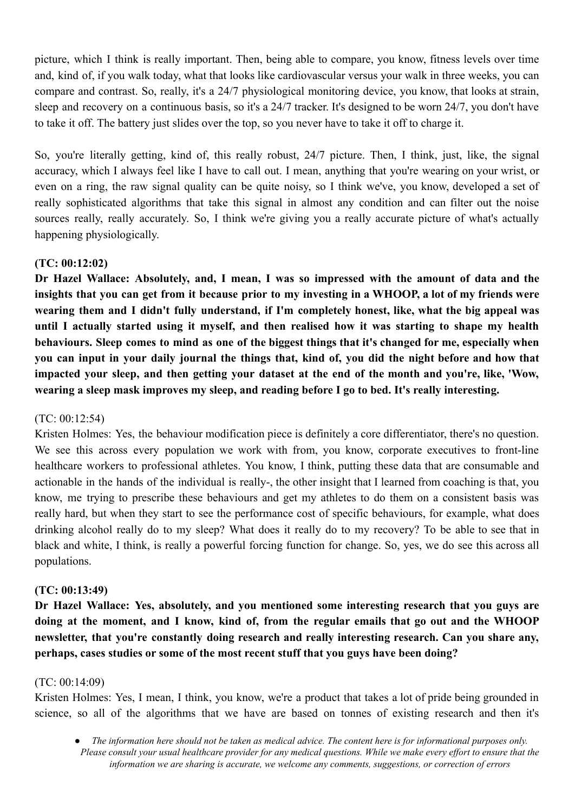picture, which I think is really important. Then, being able to compare, you know, fitness levels over time and, kind of, if you walk today, what that looks like cardiovascular versus your walk in three weeks, you can compare and contrast. So, really, it's a 24/7 physiological monitoring device, you know, that looks at strain, sleep and recovery on a continuous basis, so it's a 24/7 tracker. It's designed to be worn 24/7, you don't have to take it off. The battery just slides over the top, so you never have to take it off to charge it.

So, you're literally getting, kind of, this really robust, 24/7 picture. Then, I think, just, like, the signal accuracy, which I always feel like I have to call out. I mean, anything that you're wearing on your wrist, or even on a ring, the raw signal quality can be quite noisy, so I think we've, you know, developed a set of really sophisticated algorithms that take this signal in almost any condition and can filter out the noise sources really, really accurately. So, I think we're giving you a really accurate picture of what's actually happening physiologically.

## **(TC: 00:12:02)**

**Dr Hazel Wallace: Absolutely, and, I mean, I was so impressed with the amount of data and the** insights that you can get from it because prior to my investing in a WHOOP, a lot of my friends were **wearing them and I didn't fully understand, if I'm completely honest, like, what the big appeal was until I actually started using it myself, and then realised how it was starting to shape my health** behaviours. Sleep comes to mind as one of the biggest things that it's changed for me, especially when you can input in your daily journal the things that, kind of, you did the night before and how that **impacted your sleep, and then getting your dataset at the end of the month and you're, like, 'Wow, wearing a sleep mask improves my sleep, and reading before I go to bed. It's really interesting.**

## (TC: 00:12:54)

Kristen Holmes: Yes, the behaviour modification piece is definitely a core differentiator, there's no question. We see this across every population we work with from, you know, corporate executives to front-line healthcare workers to professional athletes. You know, I think, putting these data that are consumable and actionable in the hands of the individual is really-, the other insight that I learned from coaching is that, you know, me trying to prescribe these behaviours and get my athletes to do them on a consistent basis was really hard, but when they start to see the performance cost of specific behaviours, for example, what does drinking alcohol really do to my sleep? What does it really do to my recovery? To be able to see that in black and white, I think, is really a powerful forcing function for change. So, yes, we do see this across all populations.

## **(TC: 00:13:49)**

**Dr Hazel Wallace: Yes, absolutely, and you mentioned some interesting research that you guys are doing at the moment, and I know, kind of, from the regular emails that go out and the WHOOP newsletter, that you're constantly doing research and really interesting research. Can you share any, perhaps, cases studies or some of the most recent stuff that you guys have been doing?**

#### (TC: 00:14:09)

Kristen Holmes: Yes, I mean, I think, you know, we're a product that takes a lot of pride being grounded in science, so all of the algorithms that we have are based on tonnes of existing research and then it's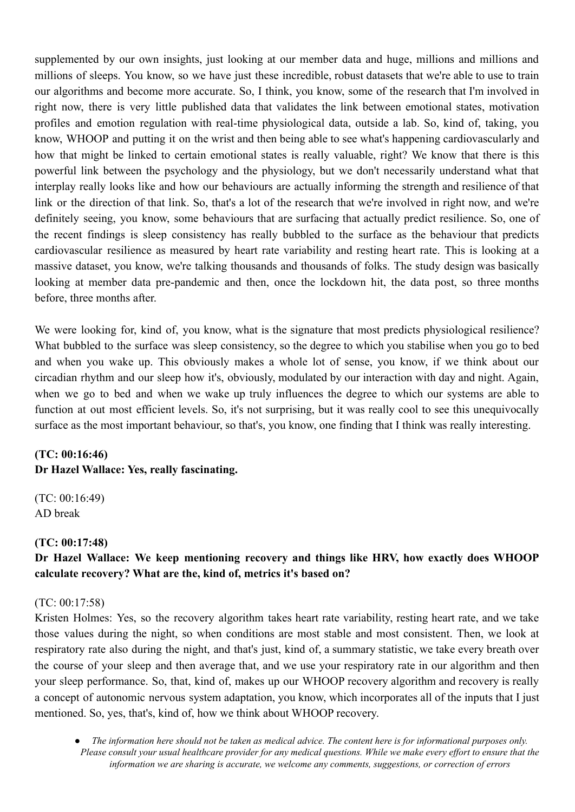supplemented by our own insights, just looking at our member data and huge, millions and millions and millions of sleeps. You know, so we have just these incredible, robust datasets that we're able to use to train our algorithms and become more accurate. So, I think, you know, some of the research that I'm involved in right now, there is very little published data that validates the link between emotional states, motivation profiles and emotion regulation with real-time physiological data, outside a lab. So, kind of, taking, you know, WHOOP and putting it on the wrist and then being able to see what's happening cardiovascularly and how that might be linked to certain emotional states is really valuable, right? We know that there is this powerful link between the psychology and the physiology, but we don't necessarily understand what that interplay really looks like and how our behaviours are actually informing the strength and resilience of that link or the direction of that link. So, that's a lot of the research that we're involved in right now, and we're definitely seeing, you know, some behaviours that are surfacing that actually predict resilience. So, one of the recent findings is sleep consistency has really bubbled to the surface as the behaviour that predicts cardiovascular resilience as measured by heart rate variability and resting heart rate. This is looking at a massive dataset, you know, we're talking thousands and thousands of folks. The study design was basically looking at member data pre-pandemic and then, once the lockdown hit, the data post, so three months before, three months after.

We were looking for, kind of, you know, what is the signature that most predicts physiological resilience? What bubbled to the surface was sleep consistency, so the degree to which you stabilise when you go to bed and when you wake up. This obviously makes a whole lot of sense, you know, if we think about our circadian rhythm and our sleep how it's, obviously, modulated by our interaction with day and night. Again, when we go to bed and when we wake up truly influences the degree to which our systems are able to function at out most efficient levels. So, it's not surprising, but it was really cool to see this unequivocally surface as the most important behaviour, so that's, you know, one finding that I think was really interesting.

## **(TC: 00:16:46)**

# **Dr Hazel Wallace: Yes, really fascinating.**

(TC: 00:16:49) AD break

#### **(TC: 00:17:48)**

## **Dr Hazel Wallace: We keep mentioning recovery and things like HRV, how exactly does WHOOP calculate recovery? What are the, kind of, metrics it's based on?**

#### (TC: 00:17:58)

Kristen Holmes: Yes, so the recovery algorithm takes heart rate variability, resting heart rate, and we take those values during the night, so when conditions are most stable and most consistent. Then, we look at respiratory rate also during the night, and that's just, kind of, a summary statistic, we take every breath over the course of your sleep and then average that, and we use your respiratory rate in our algorithm and then your sleep performance. So, that, kind of, makes up our WHOOP recovery algorithm and recovery is really a concept of autonomic nervous system adaptation, you know, which incorporates all of the inputs that I just mentioned. So, yes, that's, kind of, how we think about WHOOP recovery.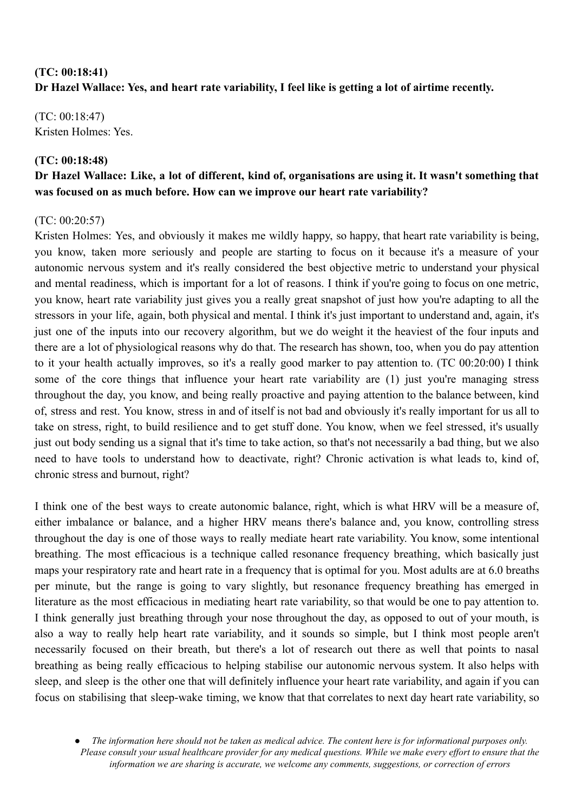## **(TC: 00:18:41) Dr Hazel Wallace: Yes, and heart rate variability, I feel like is getting a lot of airtime recently.**

(TC: 00:18:47) Kristen Holmes: Yes.

## **(TC: 00:18:48)**

## Dr Hazel Wallace: Like, a lot of different, kind of, organisations are using it. It wasn't something that **was focused on as much before. How can we improve our heart rate variability?**

## (TC: 00:20:57)

Kristen Holmes: Yes, and obviously it makes me wildly happy, so happy, that heart rate variability is being, you know, taken more seriously and people are starting to focus on it because it's a measure of your autonomic nervous system and it's really considered the best objective metric to understand your physical and mental readiness, which is important for a lot of reasons. I think if you're going to focus on one metric, you know, heart rate variability just gives you a really great snapshot of just how you're adapting to all the stressors in your life, again, both physical and mental. I think it's just important to understand and, again, it's just one of the inputs into our recovery algorithm, but we do weight it the heaviest of the four inputs and there are a lot of physiological reasons why do that. The research has shown, too, when you do pay attention to it your health actually improves, so it's a really good marker to pay attention to. (TC 00:20:00) I think some of the core things that influence your heart rate variability are (1) just you're managing stress throughout the day, you know, and being really proactive and paying attention to the balance between, kind of, stress and rest. You know, stress in and of itself is not bad and obviously it's really important for us all to take on stress, right, to build resilience and to get stuff done. You know, when we feel stressed, it's usually just out body sending us a signal that it's time to take action, so that's not necessarily a bad thing, but we also need to have tools to understand how to deactivate, right? Chronic activation is what leads to, kind of, chronic stress and burnout, right?

I think one of the best ways to create autonomic balance, right, which is what HRV will be a measure of, either imbalance or balance, and a higher HRV means there's balance and, you know, controlling stress throughout the day is one of those ways to really mediate heart rate variability. You know, some intentional breathing. The most efficacious is a technique called resonance frequency breathing, which basically just maps your respiratory rate and heart rate in a frequency that is optimal for you. Most adults are at 6.0 breaths per minute, but the range is going to vary slightly, but resonance frequency breathing has emerged in literature as the most efficacious in mediating heart rate variability, so that would be one to pay attention to. I think generally just breathing through your nose throughout the day, as opposed to out of your mouth, is also a way to really help heart rate variability, and it sounds so simple, but I think most people aren't necessarily focused on their breath, but there's a lot of research out there as well that points to nasal breathing as being really efficacious to helping stabilise our autonomic nervous system. It also helps with sleep, and sleep is the other one that will definitely influence your heart rate variability, and again if you can focus on stabilising that sleep-wake timing, we know that that correlates to next day heart rate variability, so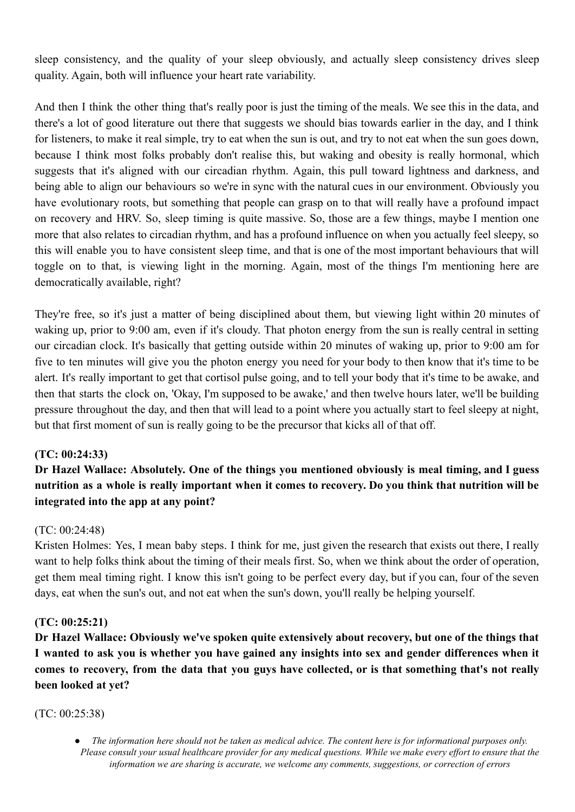sleep consistency, and the quality of your sleep obviously, and actually sleep consistency drives sleep quality. Again, both will influence your heart rate variability.

And then I think the other thing that's really poor is just the timing of the meals. We see this in the data, and there's a lot of good literature out there that suggests we should bias towards earlier in the day, and I think for listeners, to make it real simple, try to eat when the sun is out, and try to not eat when the sun goes down, because I think most folks probably don't realise this, but waking and obesity is really hormonal, which suggests that it's aligned with our circadian rhythm. Again, this pull toward lightness and darkness, and being able to align our behaviours so we're in sync with the natural cues in our environment. Obviously you have evolutionary roots, but something that people can grasp on to that will really have a profound impact on recovery and HRV. So, sleep timing is quite massive. So, those are a few things, maybe I mention one more that also relates to circadian rhythm, and has a profound influence on when you actually feel sleepy, so this will enable you to have consistent sleep time, and that is one of the most important behaviours that will toggle on to that, is viewing light in the morning. Again, most of the things I'm mentioning here are democratically available, right?

They're free, so it's just a matter of being disciplined about them, but viewing light within 20 minutes of waking up, prior to 9:00 am, even if it's cloudy. That photon energy from the sun is really central in setting our circadian clock. It's basically that getting outside within 20 minutes of waking up, prior to 9:00 am for five to ten minutes will give you the photon energy you need for your body to then know that it's time to be alert. It's really important to get that cortisol pulse going, and to tell your body that it's time to be awake, and then that starts the clock on, 'Okay, I'm supposed to be awake,' and then twelve hours later, we'll be building pressure throughout the day, and then that will lead to a point where you actually start to feel sleepy at night, but that first moment of sun is really going to be the precursor that kicks all of that off.

## **(TC: 00:24:33)**

**Dr Hazel Wallace: Absolutely. One of the things you mentioned obviously is meal timing, and I guess** nutrition as a whole is really important when it comes to recovery. Do you think that nutrition will be **integrated into the app at any point?**

## (TC: 00:24:48)

Kristen Holmes: Yes, I mean baby steps. I think for me, just given the research that exists out there, I really want to help folks think about the timing of their meals first. So, when we think about the order of operation, get them meal timing right. I know this isn't going to be perfect every day, but if you can, four of the seven days, eat when the sun's out, and not eat when the sun's down, you'll really be helping yourself.

## **(TC: 00:25:21)**

**Dr Hazel Wallace: Obviously we've spoken quite extensively about recovery, but one of the things that** I wanted to ask you is whether you have gained any insights into sex and gender differences when it comes to recovery, from the data that you guys have collected, or is that something that's not really **been looked at yet?**

## (TC: 00:25:38)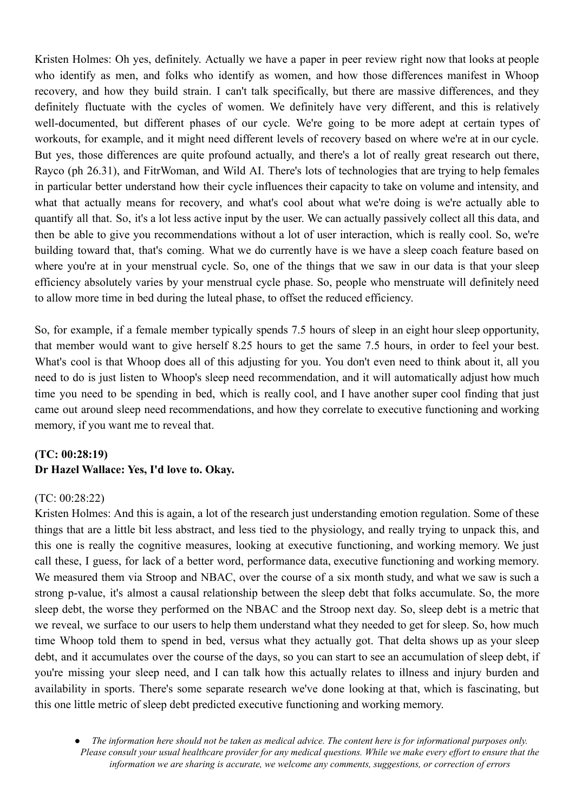Kristen Holmes: Oh yes, definitely. Actually we have a paper in peer review right now that looks at people who identify as men, and folks who identify as women, and how those differences manifest in Whoop recovery, and how they build strain. I can't talk specifically, but there are massive differences, and they definitely fluctuate with the cycles of women. We definitely have very different, and this is relatively well-documented, but different phases of our cycle. We're going to be more adept at certain types of workouts, for example, and it might need different levels of recovery based on where we're at in our cycle. But yes, those differences are quite profound actually, and there's a lot of really great research out there, Rayco (ph 26.31), and FitrWoman, and Wild AI. There's lots of technologies that are trying to help females in particular better understand how their cycle influences their capacity to take on volume and intensity, and what that actually means for recovery, and what's cool about what we're doing is we're actually able to quantify all that. So, it's a lot less active input by the user. We can actually passively collect all this data, and then be able to give you recommendations without a lot of user interaction, which is really cool. So, we're building toward that, that's coming. What we do currently have is we have a sleep coach feature based on where you're at in your menstrual cycle. So, one of the things that we saw in our data is that your sleep efficiency absolutely varies by your menstrual cycle phase. So, people who menstruate will definitely need to allow more time in bed during the luteal phase, to offset the reduced efficiency.

So, for example, if a female member typically spends 7.5 hours of sleep in an eight hour sleep opportunity, that member would want to give herself 8.25 hours to get the same 7.5 hours, in order to feel your best. What's cool is that Whoop does all of this adjusting for you. You don't even need to think about it, all you need to do is just listen to Whoop's sleep need recommendation, and it will automatically adjust how much time you need to be spending in bed, which is really cool, and I have another super cool finding that just came out around sleep need recommendations, and how they correlate to executive functioning and working memory, if you want me to reveal that.

## **(TC: 00:28:19) Dr Hazel Wallace: Yes, I'd love to. Okay.**

#### (TC: 00:28:22)

Kristen Holmes: And this is again, a lot of the research just understanding emotion regulation. Some of these things that are a little bit less abstract, and less tied to the physiology, and really trying to unpack this, and this one is really the cognitive measures, looking at executive functioning, and working memory. We just call these, I guess, for lack of a better word, performance data, executive functioning and working memory. We measured them via Stroop and NBAC, over the course of a six month study, and what we saw is such a strong p-value, it's almost a causal relationship between the sleep debt that folks accumulate. So, the more sleep debt, the worse they performed on the NBAC and the Stroop next day. So, sleep debt is a metric that we reveal, we surface to our users to help them understand what they needed to get for sleep. So, how much time Whoop told them to spend in bed, versus what they actually got. That delta shows up as your sleep debt, and it accumulates over the course of the days, so you can start to see an accumulation of sleep debt, if you're missing your sleep need, and I can talk how this actually relates to illness and injury burden and availability in sports. There's some separate research we've done looking at that, which is fascinating, but this one little metric of sleep debt predicted executive functioning and working memory.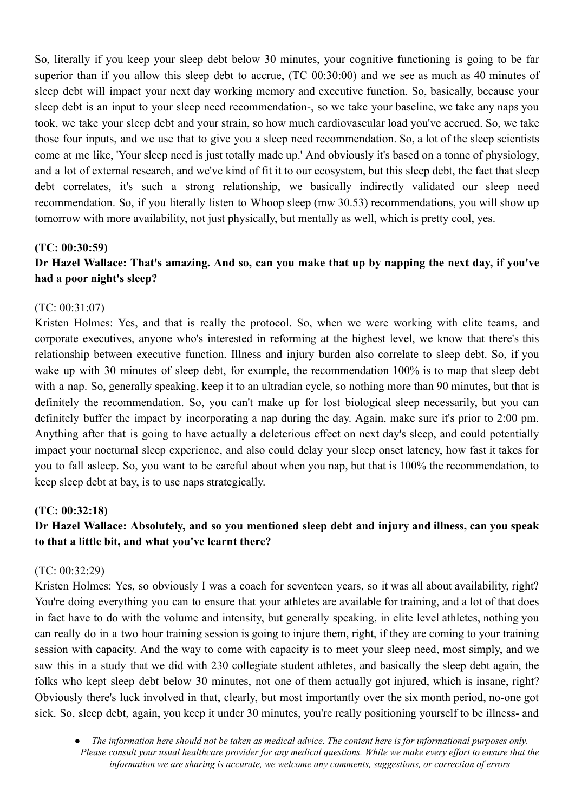So, literally if you keep your sleep debt below 30 minutes, your cognitive functioning is going to be far superior than if you allow this sleep debt to accrue, (TC 00:30:00) and we see as much as 40 minutes of sleep debt will impact your next day working memory and executive function. So, basically, because your sleep debt is an input to your sleep need recommendation-, so we take your baseline, we take any naps you took, we take your sleep debt and your strain, so how much cardiovascular load you've accrued. So, we take those four inputs, and we use that to give you a sleep need recommendation. So, a lot of the sleep scientists come at me like, 'Your sleep need is just totally made up.' And obviously it's based on a tonne of physiology, and a lot of external research, and we've kind of fit it to our ecosystem, but this sleep debt, the fact that sleep debt correlates, it's such a strong relationship, we basically indirectly validated our sleep need recommendation. So, if you literally listen to Whoop sleep (mw 30.53) recommendations, you will show up tomorrow with more availability, not just physically, but mentally as well, which is pretty cool, yes.

#### **(TC: 00:30:59)**

## Dr Hazel Wallace: That's amazing. And so, can you make that up by napping the next day, if you've **had a poor night's sleep?**

#### (TC: 00:31:07)

Kristen Holmes: Yes, and that is really the protocol. So, when we were working with elite teams, and corporate executives, anyone who's interested in reforming at the highest level, we know that there's this relationship between executive function. Illness and injury burden also correlate to sleep debt. So, if you wake up with 30 minutes of sleep debt, for example, the recommendation 100% is to map that sleep debt with a nap. So, generally speaking, keep it to an ultradian cycle, so nothing more than 90 minutes, but that is definitely the recommendation. So, you can't make up for lost biological sleep necessarily, but you can definitely buffer the impact by incorporating a nap during the day. Again, make sure it's prior to 2:00 pm. Anything after that is going to have actually a deleterious effect on next day's sleep, and could potentially impact your nocturnal sleep experience, and also could delay your sleep onset latency, how fast it takes for you to fall asleep. So, you want to be careful about when you nap, but that is 100% the recommendation, to keep sleep debt at bay, is to use naps strategically.

#### **(TC: 00:32:18)**

## **Dr Hazel Wallace: Absolutely, and so you mentioned sleep debt and injury and illness, can you speak to that a little bit, and what you've learnt there?**

#### (TC: 00:32:29)

Kristen Holmes: Yes, so obviously I was a coach for seventeen years, so it was all about availability, right? You're doing everything you can to ensure that your athletes are available for training, and a lot of that does in fact have to do with the volume and intensity, but generally speaking, in elite level athletes, nothing you can really do in a two hour training session is going to injure them, right, if they are coming to your training session with capacity. And the way to come with capacity is to meet your sleep need, most simply, and we saw this in a study that we did with 230 collegiate student athletes, and basically the sleep debt again, the folks who kept sleep debt below 30 minutes, not one of them actually got injured, which is insane, right? Obviously there's luck involved in that, clearly, but most importantly over the six month period, no-one got sick. So, sleep debt, again, you keep it under 30 minutes, you're really positioning yourself to be illness- and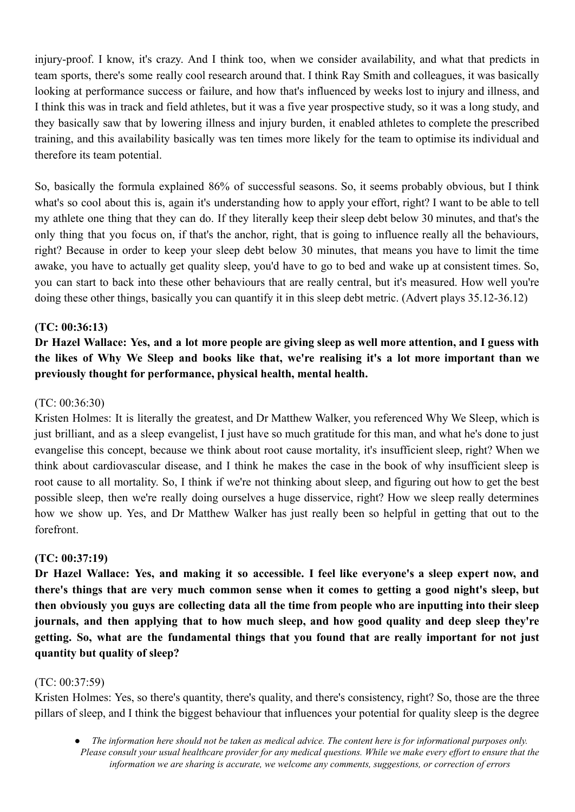injury-proof. I know, it's crazy. And I think too, when we consider availability, and what that predicts in team sports, there's some really cool research around that. I think Ray Smith and colleagues, it was basically looking at performance success or failure, and how that's influenced by weeks lost to injury and illness, and I think this was in track and field athletes, but it was a five year prospective study, so it was a long study, and they basically saw that by lowering illness and injury burden, it enabled athletes to complete the prescribed training, and this availability basically was ten times more likely for the team to optimise its individual and therefore its team potential.

So, basically the formula explained 86% of successful seasons. So, it seems probably obvious, but I think what's so cool about this is, again it's understanding how to apply your effort, right? I want to be able to tell my athlete one thing that they can do. If they literally keep their sleep debt below 30 minutes, and that's the only thing that you focus on, if that's the anchor, right, that is going to influence really all the behaviours, right? Because in order to keep your sleep debt below 30 minutes, that means you have to limit the time awake, you have to actually get quality sleep, you'd have to go to bed and wake up at consistent times. So, you can start to back into these other behaviours that are really central, but it's measured. How well you're doing these other things, basically you can quantify it in this sleep debt metric. (Advert plays 35.12-36.12)

## **(TC: 00:36:13)**

## Dr Hazel Wallace: Yes, and a lot more people are giving sleep as well more attention, and I guess with the likes of Why We Sleep and books like that, we're realising it's a lot more important than we **previously thought for performance, physical health, mental health.**

## (TC: 00:36:30)

Kristen Holmes: It is literally the greatest, and Dr Matthew Walker, you referenced Why We Sleep, which is just brilliant, and as a sleep evangelist, I just have so much gratitude for this man, and what he's done to just evangelise this concept, because we think about root cause mortality, it's insufficient sleep, right? When we think about cardiovascular disease, and I think he makes the case in the book of why insufficient sleep is root cause to all mortality. So, I think if we're not thinking about sleep, and figuring out how to get the best possible sleep, then we're really doing ourselves a huge disservice, right? How we sleep really determines how we show up. Yes, and Dr Matthew Walker has just really been so helpful in getting that out to the forefront.

## **(TC: 00:37:19)**

**Dr Hazel Wallace: Yes, and making it so accessible. I feel like everyone's a sleep expert now, and there's things that are very much common sense when it comes to getting a good night's sleep, but** then obviously you guys are collecting data all the time from people who are inputting into their sleep **journals, and then applying that to how much sleep, and how good quality and deep sleep they're getting. So, what are the fundamental things that you found that are really important for not just quantity but quality of sleep?**

#### (TC: 00:37:59)

Kristen Holmes: Yes, so there's quantity, there's quality, and there's consistency, right? So, those are the three pillars of sleep, and I think the biggest behaviour that influences your potential for quality sleep is the degree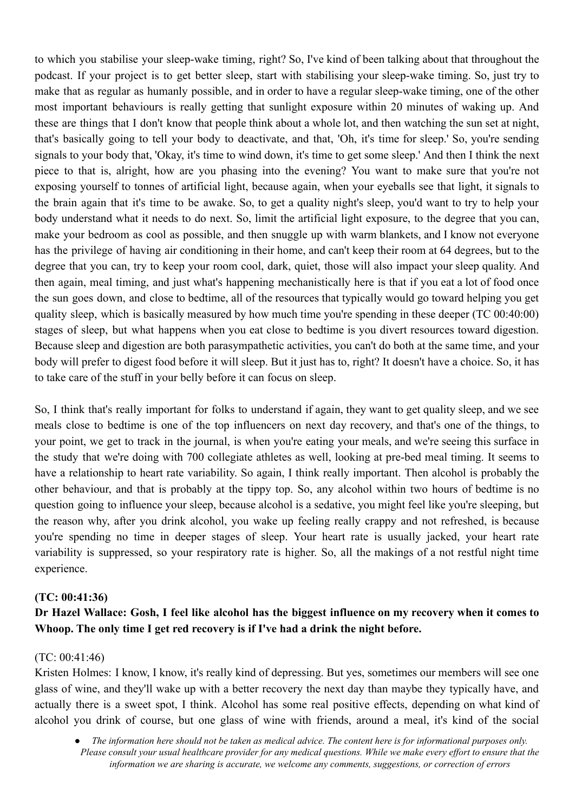to which you stabilise your sleep-wake timing, right? So, I've kind of been talking about that throughout the podcast. If your project is to get better sleep, start with stabilising your sleep-wake timing. So, just try to make that as regular as humanly possible, and in order to have a regular sleep-wake timing, one of the other most important behaviours is really getting that sunlight exposure within 20 minutes of waking up. And these are things that I don't know that people think about a whole lot, and then watching the sun set at night, that's basically going to tell your body to deactivate, and that, 'Oh, it's time for sleep.' So, you're sending signals to your body that, 'Okay, it's time to wind down, it's time to get some sleep.' And then I think the next piece to that is, alright, how are you phasing into the evening? You want to make sure that you're not exposing yourself to tonnes of artificial light, because again, when your eyeballs see that light, it signals to the brain again that it's time to be awake. So, to get a quality night's sleep, you'd want to try to help your body understand what it needs to do next. So, limit the artificial light exposure, to the degree that you can, make your bedroom as cool as possible, and then snuggle up with warm blankets, and I know not everyone has the privilege of having air conditioning in their home, and can't keep their room at 64 degrees, but to the degree that you can, try to keep your room cool, dark, quiet, those will also impact your sleep quality. And then again, meal timing, and just what's happening mechanistically here is that if you eat a lot of food once the sun goes down, and close to bedtime, all of the resources that typically would go toward helping you get quality sleep, which is basically measured by how much time you're spending in these deeper (TC 00:40:00) stages of sleep, but what happens when you eat close to bedtime is you divert resources toward digestion. Because sleep and digestion are both parasympathetic activities, you can't do both at the same time, and your body will prefer to digest food before it will sleep. But it just has to, right? It doesn't have a choice. So, it has to take care of the stuff in your belly before it can focus on sleep.

So, I think that's really important for folks to understand if again, they want to get quality sleep, and we see meals close to bedtime is one of the top influencers on next day recovery, and that's one of the things, to your point, we get to track in the journal, is when you're eating your meals, and we're seeing this surface in the study that we're doing with 700 collegiate athletes as well, looking at pre-bed meal timing. It seems to have a relationship to heart rate variability. So again, I think really important. Then alcohol is probably the other behaviour, and that is probably at the tippy top. So, any alcohol within two hours of bedtime is no question going to influence your sleep, because alcohol is a sedative, you might feel like you're sleeping, but the reason why, after you drink alcohol, you wake up feeling really crappy and not refreshed, is because you're spending no time in deeper stages of sleep. Your heart rate is usually jacked, your heart rate variability is suppressed, so your respiratory rate is higher. So, all the makings of a not restful night time experience.

## **(TC: 00:41:36)**

## Dr Hazel Wallace: Gosh, I feel like alcohol has the biggest influence on my recovery when it comes to **Whoop. The only time I get red recovery is if I've had a drink the night before.**

#### (TC: 00:41:46)

Kristen Holmes: I know, I know, it's really kind of depressing. But yes, sometimes our members will see one glass of wine, and they'll wake up with a better recovery the next day than maybe they typically have, and actually there is a sweet spot, I think. Alcohol has some real positive effects, depending on what kind of alcohol you drink of course, but one glass of wine with friends, around a meal, it's kind of the social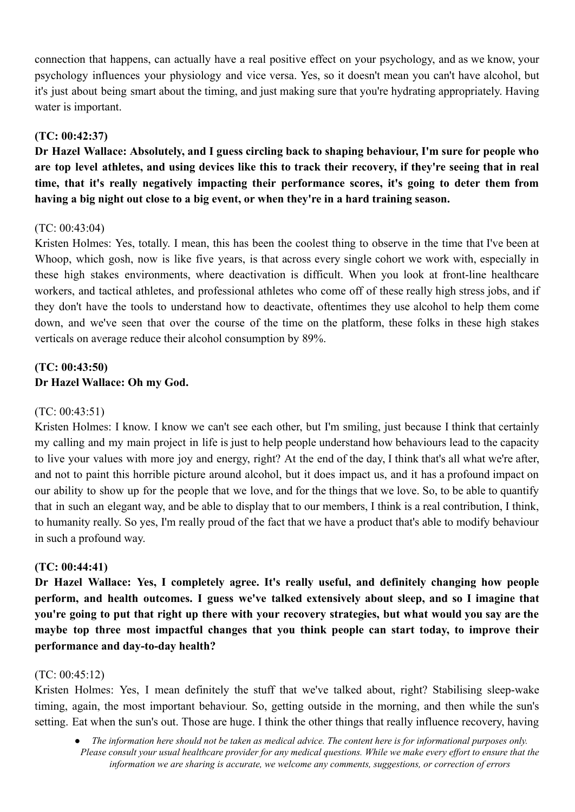connection that happens, can actually have a real positive effect on your psychology, and as we know, your psychology influences your physiology and vice versa. Yes, so it doesn't mean you can't have alcohol, but it's just about being smart about the timing, and just making sure that you're hydrating appropriately. Having water is important.

## **(TC: 00:42:37)**

**Dr Hazel Wallace: Absolutely, and I guess circling back to shaping behaviour, I'm sure for people who** are top level athletes, and using devices like this to track their recovery, if they're seeing that in real **time, that it's really negatively impacting their performance scores, it's going to deter them from having a big night out close to a big event, or when they're in a hard training season.**

## $(TC: 00.43.04)$

Kristen Holmes: Yes, totally. I mean, this has been the coolest thing to observe in the time that I've been at Whoop, which gosh, now is like five years, is that across every single cohort we work with, especially in these high stakes environments, where deactivation is difficult. When you look at front-line healthcare workers, and tactical athletes, and professional athletes who come off of these really high stress jobs, and if they don't have the tools to understand how to deactivate, oftentimes they use alcohol to help them come down, and we've seen that over the course of the time on the platform, these folks in these high stakes verticals on average reduce their alcohol consumption by 89%.

## **(TC: 00:43:50) Dr Hazel Wallace: Oh my God.**

## (TC: 00:43:51)

Kristen Holmes: I know. I know we can't see each other, but I'm smiling, just because I think that certainly my calling and my main project in life is just to help people understand how behaviours lead to the capacity to live your values with more joy and energy, right? At the end of the day, I think that's all what we're after, and not to paint this horrible picture around alcohol, but it does impact us, and it has a profound impact on our ability to show up for the people that we love, and for the things that we love. So, to be able to quantify that in such an elegant way, and be able to display that to our members, I think is a real contribution, I think, to humanity really. So yes, I'm really proud of the fact that we have a product that's able to modify behaviour in such a profound way.

## **(TC: 00:44:41)**

**Dr Hazel Wallace: Yes, I completely agree. It's really useful, and definitely changing how people perform, and health outcomes. I guess we've talked extensively about sleep, and so I imagine that** you're going to put that right up there with your recovery strategies, but what would you say are the **maybe top three most impactful changes that you think people can start today, to improve their performance and day-to-day health?**

## (TC: 00:45:12)

Kristen Holmes: Yes, I mean definitely the stuff that we've talked about, right? Stabilising sleep-wake timing, again, the most important behaviour. So, getting outside in the morning, and then while the sun's setting. Eat when the sun's out. Those are huge. I think the other things that really influence recovery, having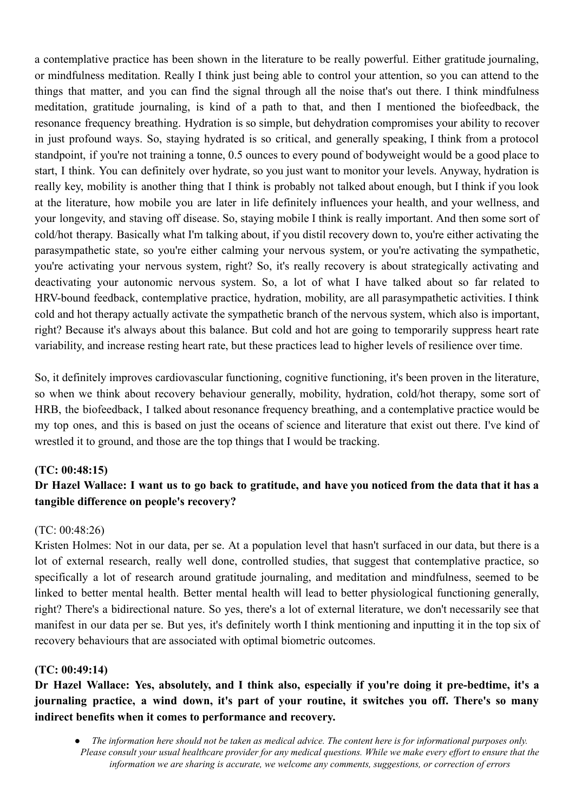a contemplative practice has been shown in the literature to be really powerful. Either gratitude journaling, or mindfulness meditation. Really I think just being able to control your attention, so you can attend to the things that matter, and you can find the signal through all the noise that's out there. I think mindfulness meditation, gratitude journaling, is kind of a path to that, and then I mentioned the biofeedback, the resonance frequency breathing. Hydration is so simple, but dehydration compromises your ability to recover in just profound ways. So, staying hydrated is so critical, and generally speaking, I think from a protocol standpoint, if you're not training a tonne, 0.5 ounces to every pound of bodyweight would be a good place to start, I think. You can definitely over hydrate, so you just want to monitor your levels. Anyway, hydration is really key, mobility is another thing that I think is probably not talked about enough, but I think if you look at the literature, how mobile you are later in life definitely influences your health, and your wellness, and your longevity, and staving off disease. So, staying mobile I think is really important. And then some sort of cold/hot therapy. Basically what I'm talking about, if you distil recovery down to, you're either activating the parasympathetic state, so you're either calming your nervous system, or you're activating the sympathetic, you're activating your nervous system, right? So, it's really recovery is about strategically activating and deactivating your autonomic nervous system. So, a lot of what I have talked about so far related to HRV-bound feedback, contemplative practice, hydration, mobility, are all parasympathetic activities. I think cold and hot therapy actually activate the sympathetic branch of the nervous system, which also is important, right? Because it's always about this balance. But cold and hot are going to temporarily suppress heart rate variability, and increase resting heart rate, but these practices lead to higher levels of resilience over time.

So, it definitely improves cardiovascular functioning, cognitive functioning, it's been proven in the literature, so when we think about recovery behaviour generally, mobility, hydration, cold/hot therapy, some sort of HRB, the biofeedback, I talked about resonance frequency breathing, and a contemplative practice would be my top ones, and this is based on just the oceans of science and literature that exist out there. I've kind of wrestled it to ground, and those are the top things that I would be tracking.

## **(TC: 00:48:15)**

## Dr Hazel Wallace: I want us to go back to gratitude, and have you noticed from the data that it has a **tangible difference on people's recovery?**

## (TC: 00:48:26)

Kristen Holmes: Not in our data, per se. At a population level that hasn't surfaced in our data, but there is a lot of external research, really well done, controlled studies, that suggest that contemplative practice, so specifically a lot of research around gratitude journaling, and meditation and mindfulness, seemed to be linked to better mental health. Better mental health will lead to better physiological functioning generally, right? There's a bidirectional nature. So yes, there's a lot of external literature, we don't necessarily see that manifest in our data per se. But yes, it's definitely worth I think mentioning and inputting it in the top six of recovery behaviours that are associated with optimal biometric outcomes.

## **(TC: 00:49:14)**

**Dr Hazel Wallace: Yes, absolutely, and I think also, especially if you're doing it pre-bedtime, it's a journaling practice, a wind down, it's part of your routine, it switches you off. There's so many indirect benefits when it comes to performance and recovery.**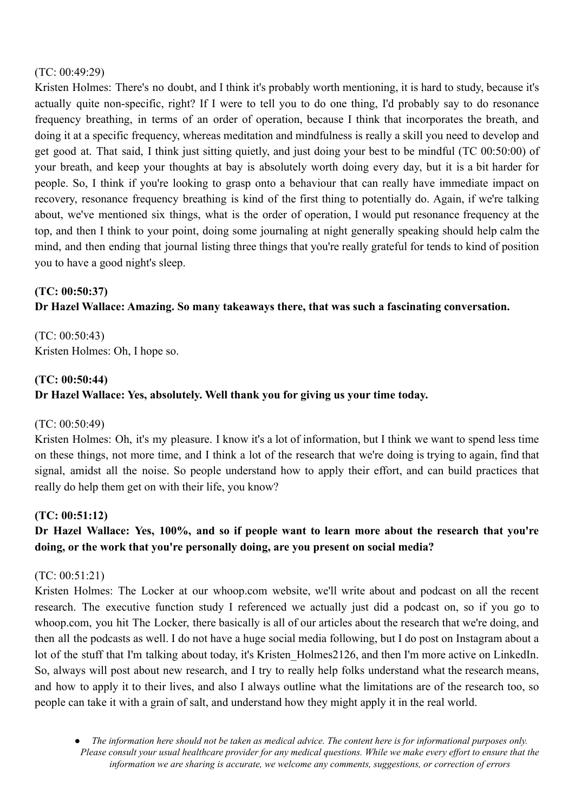### (TC: 00:49:29)

Kristen Holmes: There's no doubt, and I think it's probably worth mentioning, it is hard to study, because it's actually quite non-specific, right? If I were to tell you to do one thing, I'd probably say to do resonance frequency breathing, in terms of an order of operation, because I think that incorporates the breath, and doing it at a specific frequency, whereas meditation and mindfulness is really a skill you need to develop and get good at. That said, I think just sitting quietly, and just doing your best to be mindful (TC 00:50:00) of your breath, and keep your thoughts at bay is absolutely worth doing every day, but it is a bit harder for people. So, I think if you're looking to grasp onto a behaviour that can really have immediate impact on recovery, resonance frequency breathing is kind of the first thing to potentially do. Again, if we're talking about, we've mentioned six things, what is the order of operation, I would put resonance frequency at the top, and then I think to your point, doing some journaling at night generally speaking should help calm the mind, and then ending that journal listing three things that you're really grateful for tends to kind of position you to have a good night's sleep.

## **(TC: 00:50:37)**

## **Dr Hazel Wallace: Amazing. So many takeaways there, that was such a fascinating conversation.**

(TC: 00:50:43) Kristen Holmes: Oh, I hope so.

#### **(TC: 00:50:44)**

## **Dr Hazel Wallace: Yes, absolutely. Well thank you for giving us your time today.**

## (TC: 00:50:49)

Kristen Holmes: Oh, it's my pleasure. I know it's a lot of information, but I think we want to spend less time on these things, not more time, and I think a lot of the research that we're doing is trying to again, find that signal, amidst all the noise. So people understand how to apply their effort, and can build practices that really do help them get on with their life, you know?

## **(TC: 00:51:12)**

## **Dr Hazel Wallace: Yes, 100%, and so if people want to learn more about the research that you're doing, or the work that you're personally doing, are you present on social media?**

## (TC: 00:51:21)

Kristen Holmes: The Locker at our whoop.com website, we'll write about and podcast on all the recent research. The executive function study I referenced we actually just did a podcast on, so if you go to whoop.com, you hit The Locker, there basically is all of our articles about the research that we're doing, and then all the podcasts as well. I do not have a huge social media following, but I do post on Instagram about a lot of the stuff that I'm talking about today, it's Kristen\_Holmes2126, and then I'm more active on LinkedIn. So, always will post about new research, and I try to really help folks understand what the research means, and how to apply it to their lives, and also I always outline what the limitations are of the research too, so people can take it with a grain of salt, and understand how they might apply it in the real world.